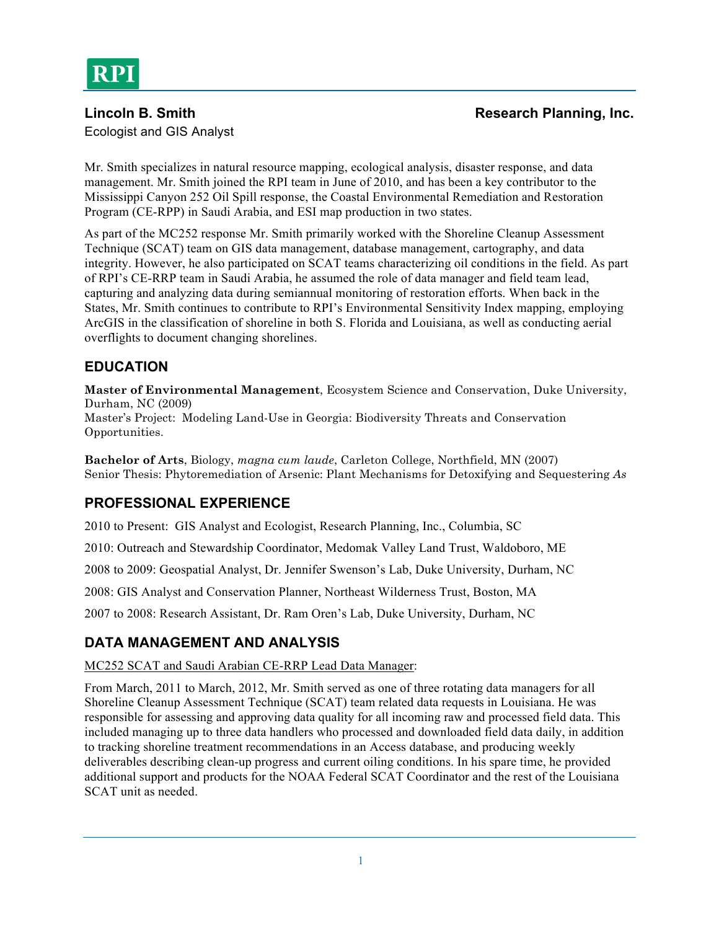Ecologist and GIS Analyst

Mr. Smith specializes in natural resource mapping, ecological analysis, disaster response, and data management. Mr. Smith joined the RPI team in June of 2010, and has been a key contributor to the Mississippi Canyon 252 Oil Spill response, the Coastal Environmental Remediation and Restoration Program (CE-RPP) in Saudi Arabia, and ESI map production in two states.

As part of the MC252 response Mr. Smith primarily worked with the Shoreline Cleanup Assessment Technique (SCAT) team on GIS data management, database management, cartography, and data integrity. However, he also participated on SCAT teams characterizing oil conditions in the field. As part of RPI's CE-RRP team in Saudi Arabia, he assumed the role of data manager and field team lead, capturing and analyzing data during semiannual monitoring of restoration efforts. When back in the States, Mr. Smith continues to contribute to RPI's Environmental Sensitivity Index mapping, employing ArcGIS in the classification of shoreline in both S. Florida and Louisiana, as well as conducting aerial overflights to document changing shorelines.

# **EDUCATION**

**Master of Environmental Management**, Ecosystem Science and Conservation, Duke University, Durham, NC (2009) Master's Project: Modeling Land-Use in Georgia: Biodiversity Threats and Conservation

Opportunities.

**Bachelor of Arts**, Biology, *magna cum laude*, Carleton College, Northfield, MN (2007) Senior Thesis: Phytoremediation of Arsenic: Plant Mechanisms for Detoxifying and Sequestering *As*

# **PROFESSIONAL EXPERIENCE**

2010 to Present: GIS Analyst and Ecologist, Research Planning, Inc., Columbia, SC

2010: Outreach and Stewardship Coordinator, Medomak Valley Land Trust, Waldoboro, ME

2008 to 2009: Geospatial Analyst, Dr. Jennifer Swenson's Lab, Duke University, Durham, NC

2008: GIS Analyst and Conservation Planner, Northeast Wilderness Trust, Boston, MA

2007 to 2008: Research Assistant, Dr. Ram Oren's Lab, Duke University, Durham, NC

# **DATA MANAGEMENT AND ANALYSIS**

#### MC252 SCAT and Saudi Arabian CE-RRP Lead Data Manager:

From March, 2011 to March, 2012, Mr. Smith served as one of three rotating data managers for all Shoreline Cleanup Assessment Technique (SCAT) team related data requests in Louisiana. He was responsible for assessing and approving data quality for all incoming raw and processed field data. This included managing up to three data handlers who processed and downloaded field data daily, in addition to tracking shoreline treatment recommendations in an Access database, and producing weekly deliverables describing clean-up progress and current oiling conditions. In his spare time, he provided additional support and products for the NOAA Federal SCAT Coordinator and the rest of the Louisiana SCAT unit as needed.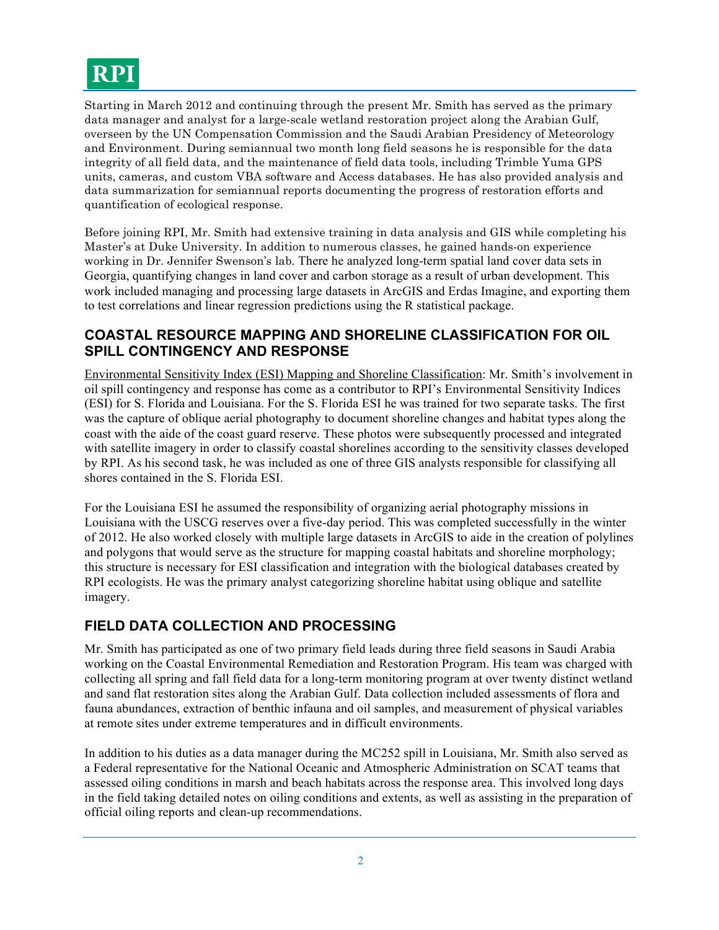# **RPI**

Starting in March 2012 and continuing through the present Mr. Smith has served as the primary data manager and analyst for a large-scale wetland restoration project along the Arabian Gulf, overseen by the UN Compensation Commission and the Saudi Arabian Presidency of Meteorology and Environment. During semiannual two month long field seasons he is responsible for the data integrity of all field data, and the maintenance of field data tools, including Trimble Yuma GPS units, cameras, and custom VBA software and Access databases. He has also provided analysis and data summarization for semiannual reports documenting the progress of restoration efforts and quantification of ecological response.

Before joining RPI, Mr. Smith had extensive training in data analysis and GIS while completing his Master's at Duke University. In addition to numerous classes, he gained hands-on experience working in Dr. Jennifer Swenson's lab. There he analyzed long-term spatial land cover data sets in Georgia, quantifying changes in land cover and carbon storage as a result of urban development. This work included managing and processing large datasets in ArcGIS and Erdas Imagine, and exporting them to test correlations and linear regression predictions using the R statistical package.

#### **COASTAL RESOURCE MAPPING AND SHORELINE CLASSIFICATION FOR OIL SPILL CONTINGENCY AND RESPONSE**

Environmental Sensitivity Index (ESI) Mapping and Shoreline Classification: Mr. Smith's involvement in oil spill contingency and response has come as a contributor to RPI's Environmental Sensitivity Indices (ESI) for S. Florida and Louisiana. For the S. Florida ESI he was trained for two separate tasks. The first was the capture of oblique aerial photography to document shoreline changes and habitat types along the coast with the aide of the coast guard reserve. These photos were subsequently processed and integrated with satellite imagery in order to classify coastal shorelines according to the sensitivity classes developed by RPI. As his second task, he was included as one of three GIS analysts responsible for classifying all shores contained in the S. Florida ESI.

For the Louisiana ESI he assumed the responsibility of organizing aerial photography missions in Louisiana with the USCG reserves over a five-day period. This was completed successfully in the winter of 2012. He also worked closely with multiple large datasets in ArcGIS to aide in the creation of polylines and polygons that would serve as the structure for mapping coastal habitats and shoreline morphology; this structure is necessary for ESI classification and integration with the biological databases created by RPI ecologists. He was the primary analyst categorizing shoreline habitat using oblique and satellite imagery.

## **FIELD DATA COLLECTION AND PROCESSING**

Mr. Smith has participated as one of two primary field leads during three field seasons in Saudi Arabia working on the Coastal Environmental Remediation and Restoration Program. His team was charged with collecting all spring and fall field data for a long-term monitoring program at over twenty distinct wetland and sand flat restoration sites along the Arabian Gulf. Data collection included assessments of flora and fauna abundances, extraction of benthic infauna and oil samples, and measurement of physical variables at remote sites under extreme temperatures and in difficult environments.

In addition to his duties as a data manager during the MC252 spill in Louisiana, Mr. Smith also served as a Federal representative for the National Oceanic and Atmospheric Administration on SCAT teams that assessed oiling conditions in marsh and beach habitats across the response area. This involved long days in the field taking detailed notes on oiling conditions and extents, as well as assisting in the preparation of official oiling reports and clean-up recommendations.